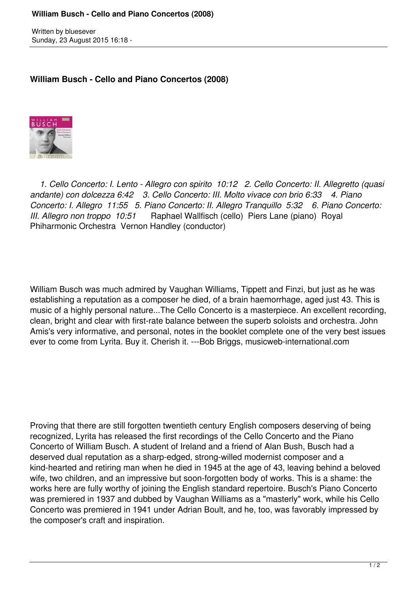Written by bluesever Sunday, 23 August 2015 16:18 -

## **William Busch - Cello and Piano Concertos (2008)**



 *1. Cello Concerto: I. Lento - Allegro con spirito 10:12 2. Cello Concerto: II. Allegretto (quasi andante) con dolcezza 6:42 3. Cello Concerto: III. Molto vivace con brio 6:33 4. Piano Concerto: I. Allegro 11:55 5. Piano Concerto: II. Allegro Tranquillo 5:32 6. Piano Concerto: III. Allegro non troppo 10:51* Raphael Wallfisch (cello) Piers Lane (piano) Royal Phiharmonic Orchestra Vernon Handley (conductor)

William Busch was much admired by Vaughan Williams, Tippett and Finzi, but just as he was establishing a reputation as a composer he died, of a brain haemorrhage, aged just 43. This is music of a highly personal nature...The Cello Concerto is a masterpiece. An excellent recording, clean, bright and clear with first-rate balance between the superb soloists and orchestra. John Amis's very informative, and personal, notes in the booklet complete one of the very best issues ever to come from Lyrita. Buy it. Cherish it. ---Bob Briggs, musicweb-international.com

Proving that there are still forgotten twentieth century English composers deserving of being recognized, Lyrita has released the first recordings of the Cello Concerto and the Piano Concerto of William Busch. A student of Ireland and a friend of Alan Bush, Busch had a deserved dual reputation as a sharp-edged, strong-willed modernist composer and a kind-hearted and retiring man when he died in 1945 at the age of 43, leaving behind a beloved wife, two children, and an impressive but soon-forgotten body of works. This is a shame: the works here are fully worthy of joining the English standard repertoire. Busch's Piano Concerto was premiered in 1937 and dubbed by Vaughan Williams as a "masterly" work, while his Cello Concerto was premiered in 1941 under Adrian Boult, and he, too, was favorably impressed by the composer's craft and inspiration.